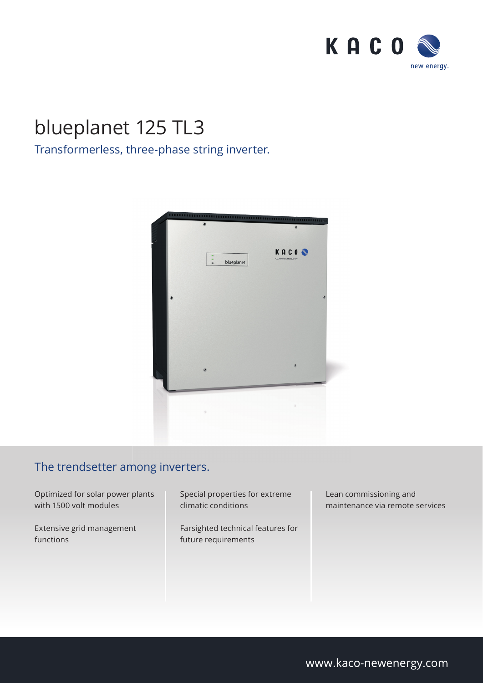

## blueplanet 125 TL3

## Transformerless, three-phase string inverter.



## The trendsetter among inverters.

Optimized for solar power plants with 1500 volt modules

Extensive grid management functions

Special properties for extreme climatic conditions

Farsighted technical features for future requirements

Lean commissioning and maintenance via remote services

www.kaco-newenergy.com